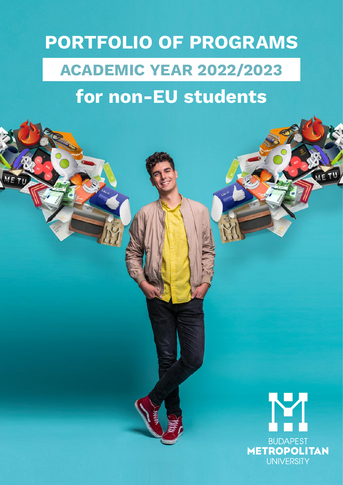# **PORTFOLIO OF PROGRAMS for non-EU students ACADEMIC YEAR 2022/2023**

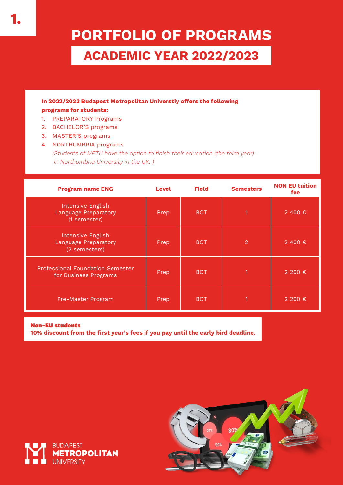**PORTFOLIO OF PROGRAMS**

### **ACADEMIC YEAR 2022/2023**

**In 2022/2023 Budapest Metropolitan Universtiy offers the following programs for students:** 

- 1. PREPARATORY Programs
- 2. BACHELOR'S programs
- 3. MASTER'S programs
- 4. NORTHUMBRIA programs *(Students of METU have the option to finish their education (the third year) in Northumbria University in the UK. )*

| <b>Program name ENG</b>                                           | <b>Level</b> | <b>Field</b> | <b>Semesters</b> | <b>NON EU tuition</b><br>fee: |
|-------------------------------------------------------------------|--------------|--------------|------------------|-------------------------------|
| Intensive English<br>Language Preparatory<br>(1 semester)         | <b>Prep</b>  | <b>BCT</b>   |                  | 2 400 €                       |
| <b>Intensive English</b><br>Language Preparatory<br>(2 semesters) | Prep         | <b>BCT</b>   | $\overline{2}$   | 2400€                         |
| <b>Professional Foundation Semester</b><br>for Business Programs  | Prep         | <b>BCT</b>   | 1                | 2 200 €                       |
| Pre-Master Program                                                | Prep         | <b>BCT</b>   |                  | 2200€                         |

#### Non-EU students

**10% discount from the first year's fees if you pay until the early bird deadline.**



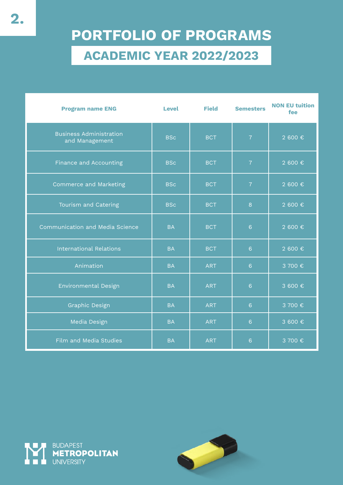# **PORTFOLIO OF PROGRAMS ACADEMIC YEAR 2022/2023**

| <b>Program name ENG</b>                          | <b>Level</b> | <b>Field</b> | <b>Semesters</b> | <b>NON EU tuition</b><br>fee |
|--------------------------------------------------|--------------|--------------|------------------|------------------------------|
| <b>Business Administration</b><br>and Management | <b>BSc</b>   | <b>BCT</b>   | $\overline{7}$   | 2600€                        |
| Finance and Accounting                           | <b>BSc</b>   | <b>BCT</b>   | $\overline{7}$   | 2600 €                       |
| Commerce and Marketing                           | <b>BSc</b>   | <b>BCT</b>   | $\overline{7}$   | 2600€                        |
| Tourism and Catering                             | <b>BSc</b>   | <b>BCT</b>   | $\overline{8}$   | 2600€                        |
| <b>Communication and Media Science</b>           | <b>BA</b>    | <b>BCT</b>   | $6\phantom{1}6$  | 2600€                        |
| <b>International Relations</b>                   | <b>BA</b>    | <b>BCT</b>   | $6\phantom{a}$   | 2 600 €                      |
| Animation                                        | <b>BA</b>    | <b>ART</b>   | 6                | 3700€                        |
| <b>Environmental Design</b>                      | <b>BA</b>    | <b>ART</b>   | $6\phantom{1}6$  | 3 600 €                      |
| Graphic Design                                   | <b>BA</b>    | <b>ART</b>   | 6                | 3700€                        |
| Media Design                                     | <b>BA</b>    | <b>ART</b>   | 6                | 3 600 €                      |
| Film and Media Studies                           | <b>BA</b>    | <b>ART</b>   | $6\phantom{1}$   | 3700€                        |

**BUDAPEST METROPOLITAN UNIVERSITY** 

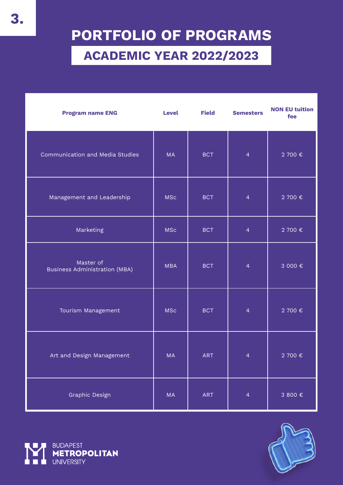| <b>Program name ENG</b>                           | <b>Level</b> | <b>Field</b> | <b>Semesters</b> | <b>NON EU tuition</b><br>fee |
|---------------------------------------------------|--------------|--------------|------------------|------------------------------|
| Communication and Media Studies                   | <b>MA</b>    | <b>BCT</b>   | $\overline{4}$   | 2 700 €                      |
| Management and Leadership                         | <b>MSc</b>   | <b>BCT</b>   | $\overline{4}$   | 2 700 €                      |
| Marketing                                         | <b>MSc</b>   | <b>BCT</b>   | $\overline{4}$   | 2700€                        |
| Master of<br><b>Business Administration (MBA)</b> | <b>MBA</b>   | <b>BCT</b>   | $\overline{4}$   | 3 000 €                      |
| Tourism Management                                | <b>MSc</b>   | <b>BCT</b>   | $\overline{4}$   | 2 700 €                      |
| Art and Design Management                         | <b>MA</b>    | <b>ART</b>   | $\overline{4}$   | 2 700 €                      |
| Graphic Design                                    | <b>MA</b>    | <b>ART</b>   | $\overline{4}$   | 3 800 €                      |